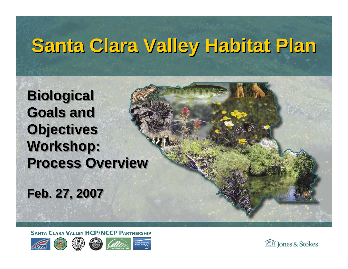# **Santa Clara Valley Habitat Plan Santa Clara Valley Habitat Plan**

**Biological Biological Goals and Goals and Objectives Objectives Workshop: Workshop: Process Overview** 

**Feb. 27, 2007 Feb. 27, 2007**

**SANTA CLARA VALLEY HCP/NCCP PARTNERSHIP** 









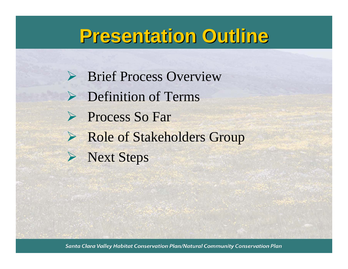## **Presentation Outline Presentation Outline**

- ▶ Brief Process Overview
- **►** Definition of Terms
- ¾ Process So Far
- ¾ Role of Stakeholders Group
- ¾ Next Steps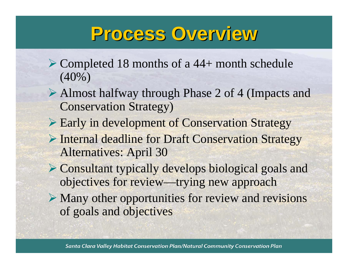## **Process Overview Process Overview**

- ¾ Completed 18 months of a 44+ month schedule (40%)
- ¾ Almost halfway through Phase 2 of 4 (Impacts and Conservation Strategy)
- ¾ Early in development of Conservation Strategy
- ¾ Internal deadline for Draft Conservation Strategy Alternatives: April 30
- ¾ Consultant typically develops biological goals and objectives for review—trying new approach
- $\triangleright$  Many other opportunities for review and revisions of goals and objectives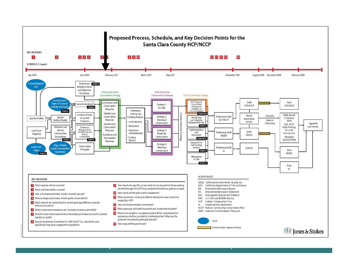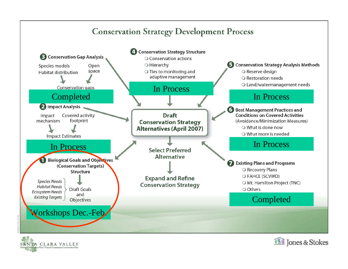#### **Conservation Strategy Development Process**





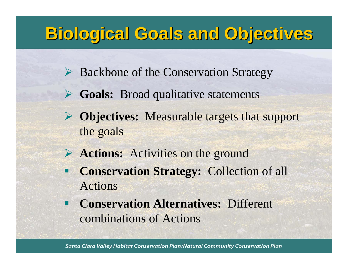### **Biological Goals and Objectives Biological Goals and Objectives**

- ¾ Backbone of the Conservation Strategy
- ¾ **Goals:** Broad qualitative statements
- ¾ **Objectives:** Measurable targets that support the goals
- ¾ **Actions:** Activities on the ground
- $\blacksquare$  **Conservation Strategy:** Collection of all Actions
- **Conservation Alternatives:** Different combinations of Actions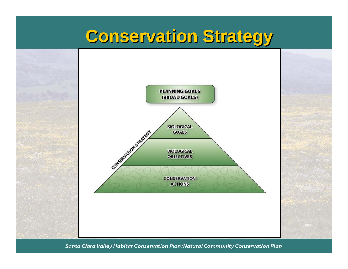### **Conservation Strategy Conservation Strategy**

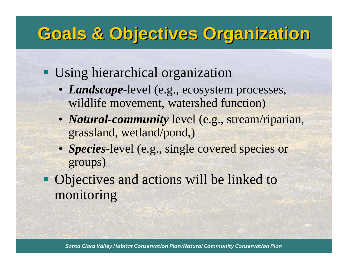## **Goals & Objectives Organization Goals & Objectives Organization**

### **Using hierarchical organization**

- *Landscape*-level (e.g., ecosystem processes, wildlife movement, watershed function)
- *Natural-community* level (e.g., stream/riparian, grassland, wetland/pond,)
- *Species*-level (e.g., single covered species or groups)
- Objectives and actions will be linked to monitoring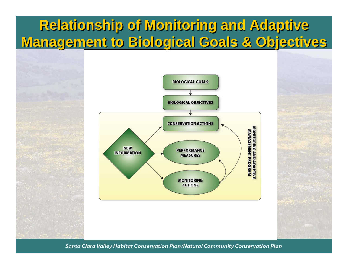### **Relationship of Monitoring and Adaptive Relationship of Monitoring and Adaptive Management to Biological Goals & Objectives Management to Biological Goals & Objectives**

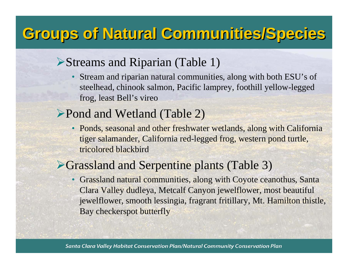### **Groups of Natural Communities/Species Groups of Natural Communities/Species**

#### ¾Streams and Riparian (Table 1)

• Stream and riparian natural communities, along with both ESU's of steelhead, chinook salmon, Pacific lamprey, foothill yellow-legged frog, least Bell's vireo

#### ▶Pond and Wetland (Table 2)

• Ponds, seasonal and other freshwater wetlands, along with California tiger salamander, California red-legged frog, western pond turtle, tricolored blackbird

#### ¾Grassland and Serpentine plants (Table 3)

• Grassland natural communities, along with Coyote ceanothus, Santa Clara Valley dudleya, Metcalf Canyon jewelflower, most beautiful jewelflower, smooth lessingia, fragrant fritillary, Mt. Hamilton thistle, Bay checkerspot butterfly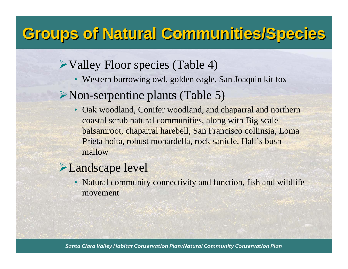### **Groups of Natural Communities/Species Groups of Natural Communities/Species**

### ¾Valley Floor species (Table 4)

• Western burrowing owl, golden eagle, San Joaquin kit fox

#### ¾Non-serpentine plants (Table 5)

• Oak woodland, Conifer woodland, and chaparral and northern coastal scrub natural communities, along with Big scale balsamroot, chaparral harebell, San Francisco collinsia, Loma Prieta hoita, robust monardella, rock sanicle, Hall's bush mallow

#### **Example 2** Landscape level

• Natural community connectivity and function, fish and wildlife movement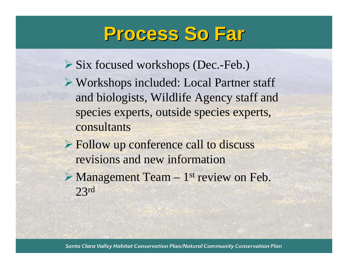## **Process So Far Process So Far**

- ¾ Six focused workshops (Dec.-Feb.)
- ¾ Workshops included: Local Partner staff and biologists, Wildlife Agency staff and species experts, outside species experts, consultants
- ¾ Follow up conference call to discuss revisions and new information
- $\triangleright$  Management Team 1<sup>st</sup> review on Feb. 23r<sup>d</sup>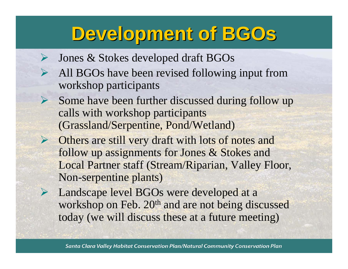## **Development of BGOs Development of BGOs**

¾Jones & Stokes developed draft BGOs

¾

- ¾ All BGOs have been revised following input from workshop participants
	- Some have been further discussed during follow up calls with workshop participants (Grassland/Serpentine, Pond/Wetland)
- ¾ Others are still very draft with lots of notes and follow up assignments for Jones & Stokes and Local Partner staff (Stream/Riparian, Valley Floor, Non-serpentine plants)
- ¾ Landscape level BGOs were developed at a workshop on Feb. 20<sup>th</sup> and are not being discussed today (we will discuss these at a future meeting)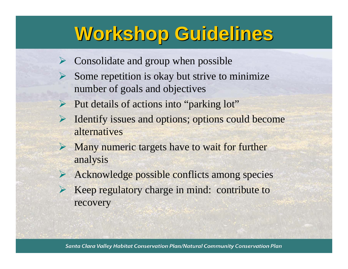## **Workshop Guidelines Workshop Guidelines**

- ¾Consolidate and group when possible
- ¾ Some repetition is okay but strive to minimize number of goals and objectives
- ¾ Put details of actions into "parking lot"
- ¾ Identify issues and options; options could become alternatives
- $\triangleright$  Many numeric targets have to wait for further analysis
- ¾ Acknowledge possible conflicts among species
- ¾ Keep regulatory charge in mind: contribute to recovery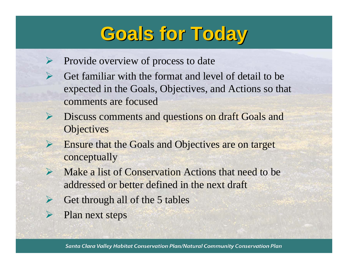## **Goals for Today Goals for Today**

- ¾Provide overview of process to date
- $\blacktriangleright$  Get familiar with the format and level of detail to be expected in the Goals, Objectives, and Actions so that comments are focused
- ¾ Discuss comments and questions on draft Goals and **Objectives**
- ¾ Ensure that the Goals and Objectives are on target conceptually
- ¾ Make a list of Conservation Actions that need to be addressed or better defined in the next draft
- ¾Get through all of the 5 tables
- ¾Plan next steps